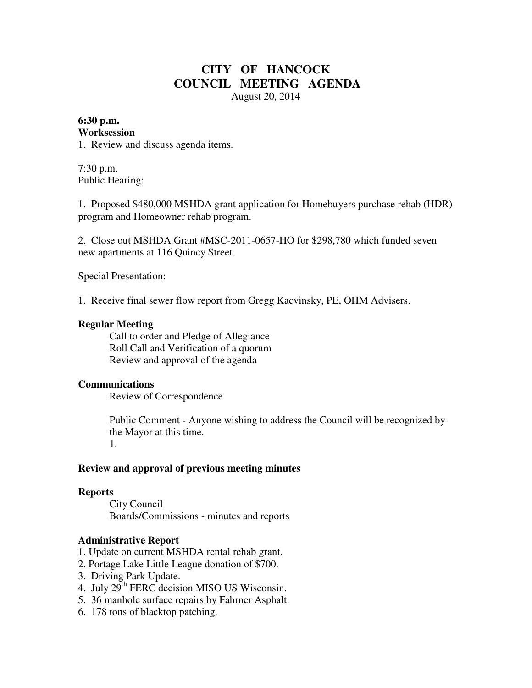# **CITY OF HANCOCK COUNCIL MEETING AGENDA**  August 20, 2014

#### **6:30 p.m. Worksession**

1. Review and discuss agenda items.

7:30 p.m. Public Hearing:

1. Proposed \$480,000 MSHDA grant application for Homebuyers purchase rehab (HDR) program and Homeowner rehab program.

2. Close out MSHDA Grant #MSC-2011-0657-HO for \$298,780 which funded seven new apartments at 116 Quincy Street.

Special Presentation:

1. Receive final sewer flow report from Gregg Kacvinsky, PE, OHM Advisers.

#### **Regular Meeting**

 Call to order and Pledge of Allegiance Roll Call and Verification of a quorum Review and approval of the agenda

### **Communications**

Review of Correspondence

 Public Comment - Anyone wishing to address the Council will be recognized by the Mayor at this time.

1.

#### **Review and approval of previous meeting minutes**

#### **Reports**

City Council Boards/Commissions - minutes and reports

### **Administrative Report**

- 1. Update on current MSHDA rental rehab grant.
- 2. Portage Lake Little League donation of \$700.
- 3. Driving Park Update.
- 4. July 29<sup>th</sup> FERC decision MISO US Wisconsin.
- 5. 36 manhole surface repairs by Fahrner Asphalt.
- 6. 178 tons of blacktop patching.